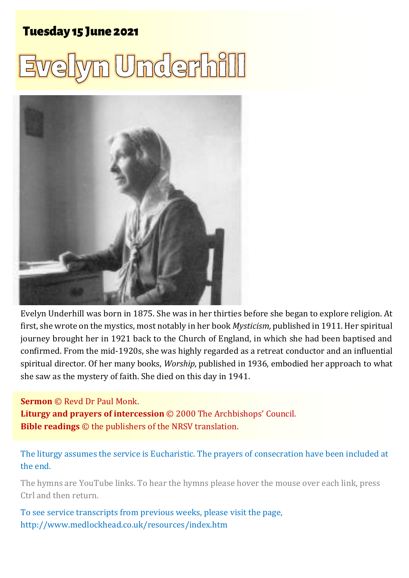# **Tuesday 15 June 2021**





Evelyn Underhill was born in 1875. She was in her thirties before she began to explore religion. At first, she wrote on the mystics, most notably in her book *Mysticism*, published in 1911. Her spiritual journey brought her in 1921 back to the Church of England, in which she had been baptised and confirmed. From the mid-1920s, she was highly regarded as a retreat conductor and an influential spiritual director. Of her many books, *Worship*, published in 1936, embodied her approach to what she saw as the mystery of faith. She died on this day in 1941.

#### **Sermon** © Revd Dr Paul Monk.

**Liturgy and prayers of intercession** © 2000 The Archbishops' Council. **Bible readings** © the publishers of the NRSV translation.

#### The liturgy assumes the service is Eucharistic. The prayers of consecration have been included at the end.

The hymns are YouTube links. To hear the hymns please hover the mouse over each link, press Ctrl and then return.

To see service transcripts from previous weeks, please visit the page, <http://www.medlockhead.co.uk/resources/index.htm>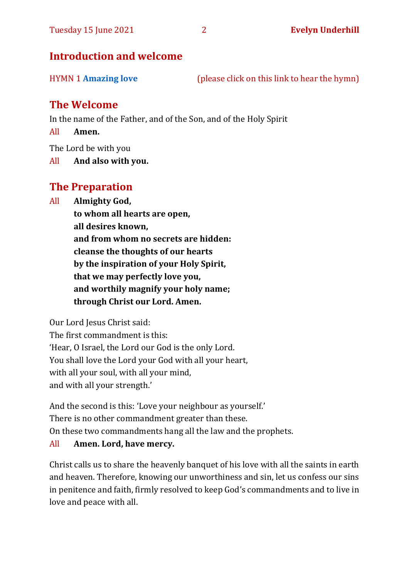# **Introduction and welcome**

| <b>HYMN 1 Amazing love</b> | (please click on this link to hear the hymn) |  |
|----------------------------|----------------------------------------------|--|
|----------------------------|----------------------------------------------|--|

# **The Welcome**

In the name of the Father, and of the Son, and of the Holy Spirit

All **Amen.**

The Lord be with you

All **And also with you.**

# **The Preparation**

All **Almighty God,**

**to whom all hearts are open, all desires known, and from whom no secrets are hidden: cleanse the thoughts of our hearts by the inspiration of your Holy Spirit, that we may perfectly love you, and worthily magnify your holy name; through Christ our Lord. Amen.**

Our Lord Jesus Christ said:

The first commandment is this: 'Hear, O Israel, the Lord our God is the only Lord. You shall love the Lord your God with all your heart, with all your soul, with all your mind, and with all your strength.'

And the second is this: 'Love your neighbour as yourself.' There is no other commandment greater than these. On these two commandments hang all the law and the prophets. All **Amen. Lord, have mercy.**

Christ calls us to share the heavenly banquet of his love with all the saints in earth and heaven. Therefore, knowing our unworthiness and sin, let us confess our sins in penitence and faith, firmly resolved to keep God's commandments and to live in love and peace with all.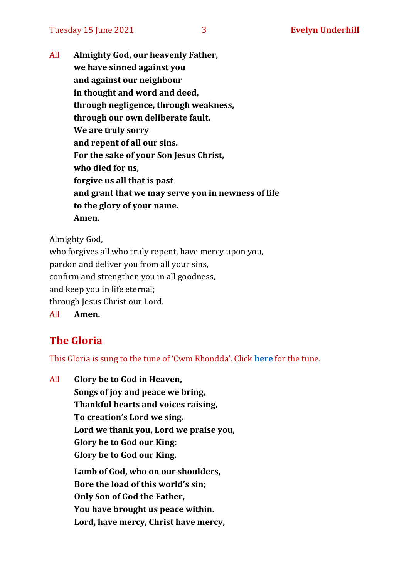All **Almighty God, our heavenly Father, we have sinned against you and against our neighbour in thought and word and deed, through negligence, through weakness, through our own deliberate fault. We are truly sorry and repent of all our sins. For the sake of your Son Jesus Christ, who died for us, forgive us all that is past and grant that we may serve you in newness of life to the glory of your name. Amen.**

Almighty God,

who forgives all who truly repent, have mercy upon you, pardon and deliver you from all your sins, confirm and strengthen you in all goodness, and keep you in life eternal; through Jesus Christ our Lord. All **Amen.**

# **The Gloria**

This Gloria is sung to the tune of 'Cwm Rhondda'. Click **[here](https://www.youtube.com/watch?v=l71MLQ22dIk)** for the tune.

All **Glory be to God in Heaven, Songs of joy and peace we bring, Thankful hearts and voices raising, To creation's Lord we sing. Lord we thank you, Lord we praise you, Glory be to God our King: Glory be to God our King. Lamb of God, who on our shoulders, Bore the load of this world's sin; Only Son of God the Father, You have brought us peace within. Lord, have mercy, Christ have mercy,**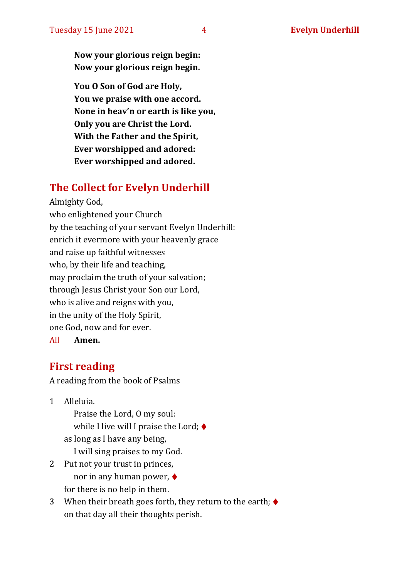**Now your glorious reign begin: Now your glorious reign begin.**

**You O Son of God are Holy, You we praise with one accord. None in heav'n or earth is like you, Only you are Christ the Lord. With the Father and the Spirit, Ever worshipped and adored: Ever worshipped and adored.**

# **The Collect for Evelyn Underhill**

Almighty God, who enlightened your Church by the teaching of your servant Evelyn Underhill: enrich it evermore with your heavenly grace and raise up faithful witnesses who, by their life and teaching, may proclaim the truth of your salvation; through Jesus Christ your Son our Lord, who is alive and reigns with you, in the unity of the Holy Spirit, one God, now and for ever.

#### All **Amen.**

# **First reading**

A reading from the book of Psalms

1 Alleluia.

Praise the Lord, O my soul: while I live will I praise the Lord;  $\blacklozenge$ as long as I have any being, I will sing praises to my God.

- 2 Put not your trust in princes, nor in any human power, ♦ for there is no help in them.
- 3 When their breath goes forth, they return to the earth;  $\blacklozenge$ on that day all their thoughts perish.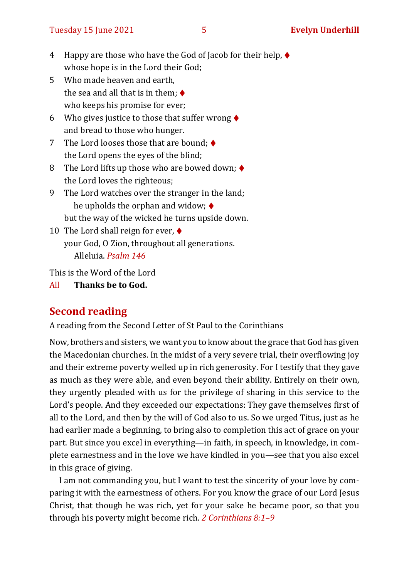- 4 Happy are those who have the God of Jacob for their help, ♦ whose hope is in the Lord their God;
- 5 Who made heaven and earth, the sea and all that is in them;  $\blacklozenge$ who keeps his promise for ever;
- 6 Who gives justice to those that suffer wrong  $\blacklozenge$ and bread to those who hunger.
- 7 The Lord looses those that are bound:  $\triangle$ the Lord opens the eyes of the blind;
- 8 The Lord lifts up those who are bowed down;  $\blacklozenge$ the Lord loves the righteous;
- 9 The Lord watches over the stranger in the land; he upholds the orphan and widow;  $\triangleleft$ but the way of the wicked he turns upside down.
- 10 The Lord shall reign for ever,  $\triangleleft$ your God, O Zion, throughout all generations. Alleluia. *Psalm 146*

This is the Word of the Lord

All **Thanks be to God.**

# **Second reading**

A reading from the Second Letter of St Paul to the Corinthians

Now, brothers and sisters, we want you to know about the grace that God has given the Macedonian churches. In the midst of a very severe trial, their overflowing joy and their extreme poverty welled up in rich generosity. For I testify that they gave as much as they were able, and even beyond their ability. Entirely on their own, they urgently pleaded with us for the privilege of sharing in this service to the Lord's people. And they exceeded our expectations: They gave themselves first of all to the Lord, and then by the will of God also to us. So we urged Titus, just as he had earlier made a beginning, to bring also to completion this act of grace on your part. But since you excel in everything—in faith, in speech, in knowledge, in complete earnestness and in the love we have kindled in you—see that you also excel in this grace of giving.

I am not commanding you, but I want to test the sincerity of your love by comparing it with the earnestness of others. For you know the grace of our Lord Jesus Christ, that though he was rich, yet for your sake he became poor, so that you through his poverty might become rich. *2 Corinthians 8:1–9*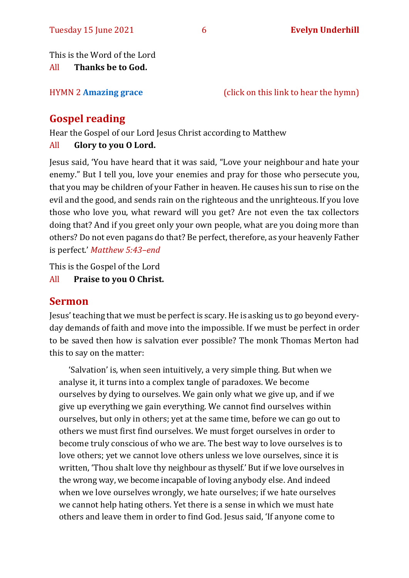This is the Word of the Lord

All **Thanks be to God.**

HYMN 2 **[Amazing grace](https://www.youtube.com/watch?v=CDdvReNKKuk)** (click on this link to hear the hymn)

# **Gospel reading**

Hear the Gospel of our Lord Jesus Christ according to Matthew All **Glory to you O Lord.**

Jesus said, 'You have heard that it was said, "Love your neighbour and hate your enemy." But I tell you, love your enemies and pray for those who persecute you, that you may be children of your Father in heaven. He causes his sun to rise on the evil and the good, and sends rain on the righteous and the unrighteous. If you love those who love you, what reward will you get? Are not even the tax collectors doing that? And if you greet only your own people, what are you doing more than others? Do not even pagans do that? Be perfect, therefore, as your heavenly Father is perfect.' *Matthew 5:43–end*

This is the Gospel of the Lord

All **Praise to you O Christ.** 

### **Sermon**

Jesus' teaching that we must be perfect is scary. He is asking us to go beyond everyday demands of faith and move into the impossible. If we must be perfect in order to be saved then how is salvation ever possible? The monk Thomas Merton had this to say on the matter:

'Salvation' is, when seen intuitively, a very simple thing. But when we analyse it, it turns into a complex tangle of paradoxes. We become ourselves by dying to ourselves. We gain only what we give up, and if we give up everything we gain everything. We cannot find ourselves within ourselves, but only in others; yet at the same time, before we can go out to others we must first find ourselves. We must forget ourselves in order to become truly conscious of who we are. The best way to love ourselves is to love others; yet we cannot love others unless we love ourselves, since it is written, 'Thou shalt love thy neighbour as thyself.' But if we love ourselves in the wrong way, we become incapable of loving anybody else. And indeed when we love ourselves wrongly, we hate ourselves; if we hate ourselves we cannot help hating others. Yet there is a sense in which we must hate others and leave them in order to find God. Jesus said, 'If anyone come to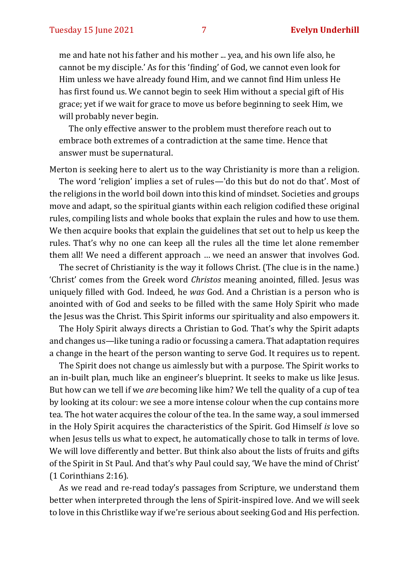me and hate not his father and his mother ... yea, and his own life also, he cannot be my disciple.' As for this 'finding' of God, we cannot even look for Him unless we have already found Him, and we cannot find Him unless He has first found us. We cannot begin to seek Him without a special gift of His grace; yet if we wait for grace to move us before beginning to seek Him, we will probably never begin.

The only effective answer to the problem must therefore reach out to embrace both extremes of a contradiction at the same time. Hence that answer must be supernatural.

Merton is seeking here to alert us to the way Christianity is more than a religion.

The word 'religion' implies a set of rules—'do this but do not do that'. Most of the religions in the world boil down into this kind of mindset. Societies and groups move and adapt, so the spiritual giants within each religion codified these original rules, compiling lists and whole books that explain the rules and how to use them. We then acquire books that explain the guidelines that set out to help us keep the rules. That's why no one can keep all the rules all the time let alone remember them all! We need a different approach … we need an answer that involves God.

The secret of Christianity is the way it follows Christ. (The clue is in the name.) 'Christ' comes from the Greek word *Christos* meaning anointed, filled. Jesus was uniquely filled with God. Indeed, he *was* God. And a Christian is a person who is anointed with of God and seeks to be filled with the same Holy Spirit who made the Jesus was the Christ. This Spirit informs our spirituality and also empowers it.

The Holy Spirit always directs a Christian to God. That's why the Spirit adapts and changes us—like tuning a radio or focussing a camera. That adaptation requires a change in the heart of the person wanting to serve God. It requires us to repent.

The Spirit does not change us aimlessly but with a purpose. The Spirit works to an in-built plan, much like an engineer's blueprint. It seeks to make us like Jesus. But how can we tell if we *are* becoming like him? We tell the quality of a cup of tea by looking at its colour: we see a more intense colour when the cup contains more tea. The hot water acquires the colour of the tea. In the same way, a soul immersed in the Holy Spirit acquires the characteristics of the Spirit. God Himself *is* love so when Jesus tells us what to expect, he automatically chose to talk in terms of love. We will love differently and better. But think also about the lists of fruits and gifts of the Spirit in St Paul. And that's why Paul could say, 'We have the mind of Christ' (1 Corinthians 2:16).

As we read and re-read today's passages from Scripture, we understand them better when interpreted through the lens of Spirit-inspired love. And we will seek to love in this Christlike way if we're serious about seeking God and His perfection.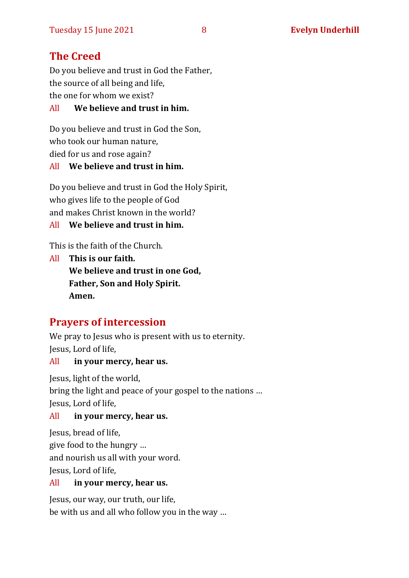# **The Creed**

Do you believe and trust in God the Father, the source of all being and life, the one for whom we exist?

All **We believe and trust in him.**

Do you believe and trust in God the Son, who took our human nature, died for us and rose again?

#### All **We believe and trust in him.**

Do you believe and trust in God the Holy Spirit, who gives life to the people of God and makes Christ known in the world?

All **We believe and trust in him.**

This is the faith of the Church.

All **This is our faith. We believe and trust in one God, Father, Son and Holy Spirit. Amen.**

# **Prayers of intercession**

We pray to Jesus who is present with us to eternity. Jesus, Lord of life,

All **in your mercy, hear us.**

Jesus, light of the world, bring the light and peace of your gospel to the nations … Jesus, Lord of life,

#### All **in your mercy, hear us.**

Jesus, bread of life, give food to the hungry … and nourish us all with your word. Jesus, Lord of life,

#### All **in your mercy, hear us.**

Jesus, our way, our truth, our life, be with us and all who follow you in the way …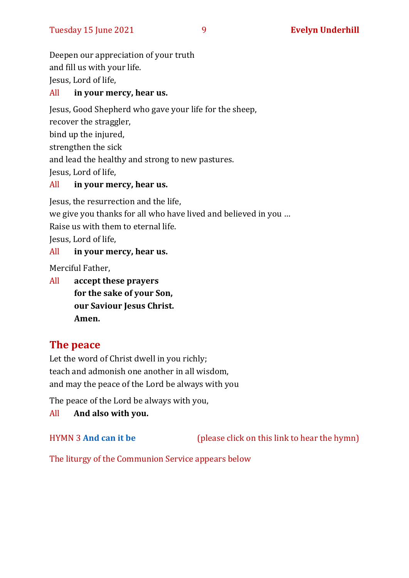Deepen our appreciation of your truth and fill us with your life. Jesus, Lord of life,

#### All **in your mercy, hear us.**

Jesus, Good Shepherd who gave your life for the sheep,

recover the straggler,

bind up the injured,

strengthen the sick

and lead the healthy and strong to new pastures.

Jesus, Lord of life,

#### All **in your mercy, hear us.**

Jesus, the resurrection and the life, we give you thanks for all who have lived and believed in you … Raise us with them to eternal life. Jesus, Lord of life, All **in your mercy, hear us.**

Merciful Father,

All **accept these prayers for the sake of your Son, our Saviour Jesus Christ. Amen.**

# **The peace**

Let the word of Christ dwell in you richly; teach and admonish one another in all wisdom, and may the peace of the Lord be always with you

The peace of the Lord be always with you,

All **And also with you.**

HYMN 3 **[And can it be](https://www.youtube.com/watch?v=uzDes9IVdzg)** (please click on this link to hear the hymn)

The liturgy of the Communion Service appears below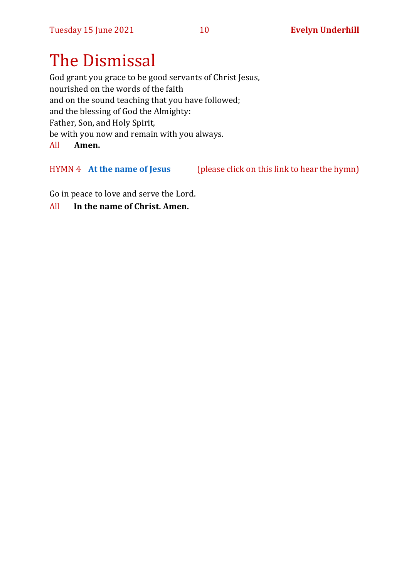# The Dismissal

God grant you grace to be good servants of Christ Jesus, nourished on the words of the faith and on the sound teaching that you have followed; and the blessing of God the Almighty: Father, Son, and Holy Spirit, be with you now and remain with you always. All **Amen.**

HYMN 4 **[At the name of Jesus](https://www.youtube.com/watch?v=Mz6xfmRC8KA)** (please click on this link to hear the hymn)

Go in peace to love and serve the Lord.

All **In the name of Christ. Amen.**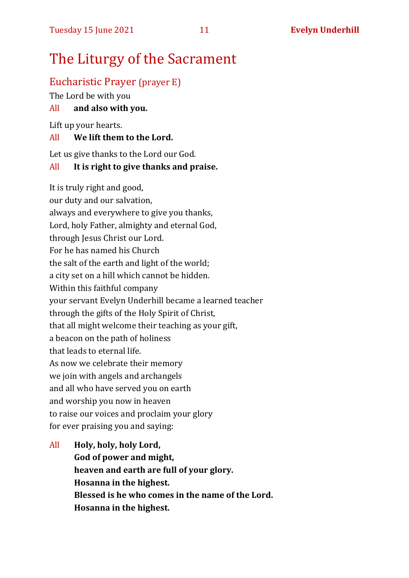# The Liturgy of the Sacrament

# Eucharistic Prayer (prayer E)

The Lord be with you

### All **and also with you.**

Lift up your hearts.

### All **We lift them to the Lord.**

Let us give thanks to the Lord our God.

### All **It is right to give thanks and praise.**

It is truly right and good, our duty and our salvation, always and everywhere to give you thanks, Lord, holy Father, almighty and eternal God, through Jesus Christ our Lord. For he has named his Church the salt of the earth and light of the world; a city set on a hill which cannot be hidden. Within this faithful company your servant Evelyn Underhill became a learned teacher through the gifts of the Holy Spirit of Christ, that all might welcome their teaching as your gift, a beacon on the path of holiness that leads to eternal life. As now we celebrate their memory we join with angels and archangels and all who have served you on earth and worship you now in heaven to raise our voices and proclaim your glory for ever praising you and saying:

# All **Holy, holy, holy Lord, God of power and might, heaven and earth are full of your glory. Hosanna in the highest. Blessed is he who comes in the name of the Lord. Hosanna in the highest.**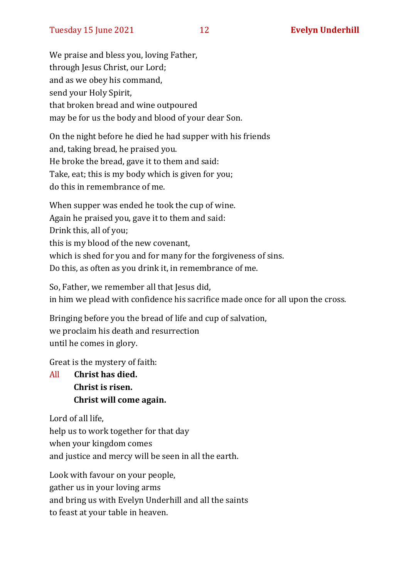We praise and bless you, loving Father, through Jesus Christ, our Lord; and as we obey his command, send your Holy Spirit, that broken bread and wine outpoured may be for us the body and blood of your dear Son.

On the night before he died he had supper with his friends and, taking bread, he praised you. He broke the bread, gave it to them and said: Take, eat; this is my body which is given for you; do this in remembrance of me.

When supper was ended he took the cup of wine. Again he praised you, gave it to them and said: Drink this, all of you; this is my blood of the new covenant, which is shed for you and for many for the forgiveness of sins. Do this, as often as you drink it, in remembrance of me.

So, Father, we remember all that Jesus did, in him we plead with confidence his sacrifice made once for all upon the cross.

Bringing before you the bread of life and cup of salvation, we proclaim his death and resurrection until he comes in glory.

Great is the mystery of faith:

All **Christ has died. Christ is risen. Christ will come again.**

Lord of all life, help us to work together for that day when your kingdom comes and justice and mercy will be seen in all the earth.

Look with favour on your people, gather us in your loving arms and bring us with Evelyn Underhill and all the saints to feast at your table in heaven.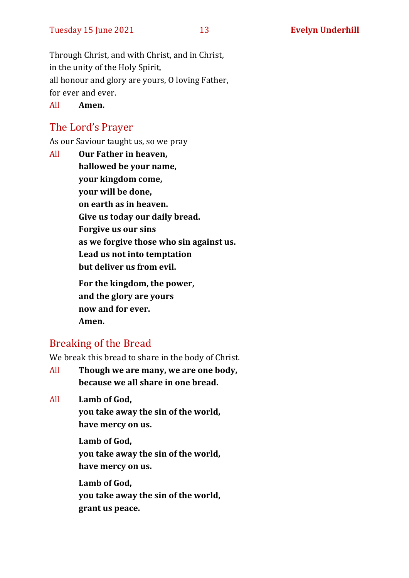Through Christ, and with Christ, and in Christ, in the unity of the Holy Spirit, all honour and glory are yours, O loving Father, for ever and ever.

All **Amen.**

# The Lord's Prayer

As our Saviour taught us, so we pray

All **Our Father in heaven, hallowed be your name, your kingdom come, your will be done, on earth as in heaven. Give us today our daily bread. Forgive us our sins as we forgive those who sin against us. Lead us not into temptation but deliver us from evil. For the kingdom, the power, and the glory are yours now and for ever.** 

**Amen.**

# Breaking of the Bread

We break this bread to share in the body of Christ.

All **Though we are many, we are one body, because we all share in one bread.**

All **Lamb of God,**

**you take away the sin of the world, have mercy on us.**

**Lamb of God, you take away the sin of the world, have mercy on us.**

**Lamb of God, you take away the sin of the world, grant us peace.**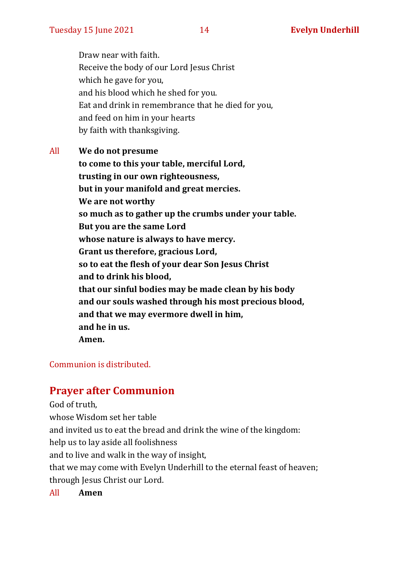Draw near with faith. Receive the body of our Lord Jesus Christ which he gave for you, and his blood which he shed for you. Eat and drink in remembrance that he died for you, and feed on him in your hearts by faith with thanksgiving.

All **We do not presume to come to this your table, merciful Lord, trusting in our own righteousness, but in your manifold and great mercies. We are not worthy so much as to gather up the crumbs under your table. But you are the same Lord whose nature is always to have mercy. Grant us therefore, gracious Lord, so to eat the flesh of your dear Son Jesus Christ and to drink his blood, that our sinful bodies may be made clean by his body and our souls washed through his most precious blood, and that we may evermore dwell in him, and he in us. Amen.**

#### Communion is distributed.

### **Prayer after Communion**

God of truth, whose Wisdom set her table and invited us to eat the bread and drink the wine of the kingdom: help us to lay aside all foolishness and to live and walk in the way of insight, that we may come with Evelyn Underhill to the eternal feast of heaven; through Jesus Christ our Lord.

All **Amen**